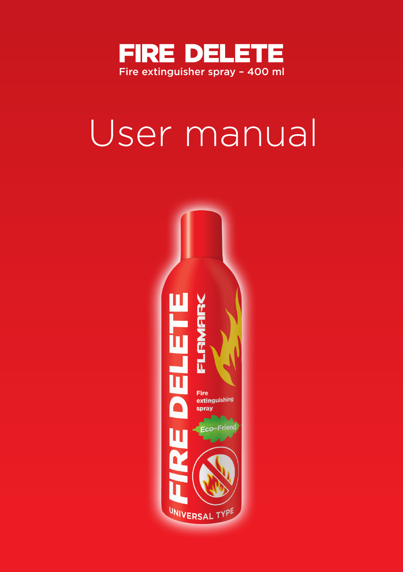

# User manual

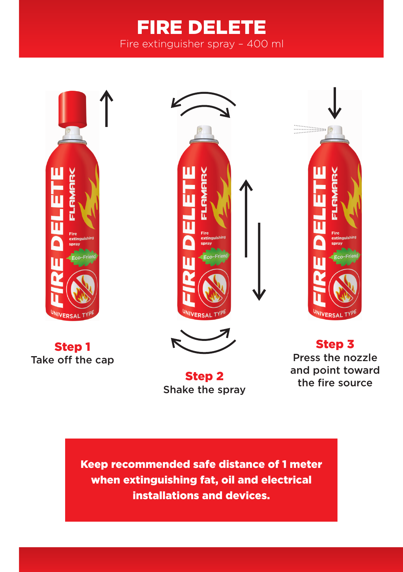# FIRE DELETE Fire extinguisher spray – 400 ml



Step 1 Take off the cap





Step 2 Shake the spray



Step 3 Press the nozzle and point toward the fire source

Keep recommended safe distance of 1 meter when extinguishing fat, oil and electrical installations and devices.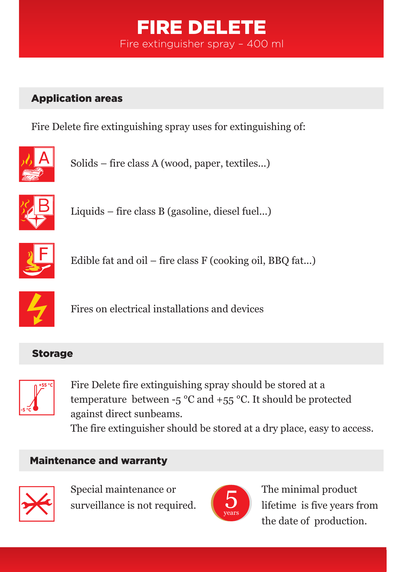## FIRE DELETE Fire extinguisher spray – 400 ml

## Application areas

Fire Delete fire extinguishing spray uses for extinguishing of:



Solids – fire class A (wood, paper, textiles...)



Liquids – fire class B (gasoline, diesel fuel...)



Edible fat and oil – fire class F (cooking oil, BBQ fat...)



Fires on electrical installations and devices

#### Storage



Fire Delete fire extinguishing spray should be stored at a temperature between  $-5$  °C and  $+55$  °C. It should be protected against direct sunbeams. The fire extinguisher should be stored at a dry place, easy to access.

#### Maintenance and warranty



Special maintenance or surveillance is not required.



The minimal product lifetime is five years from the date of production.